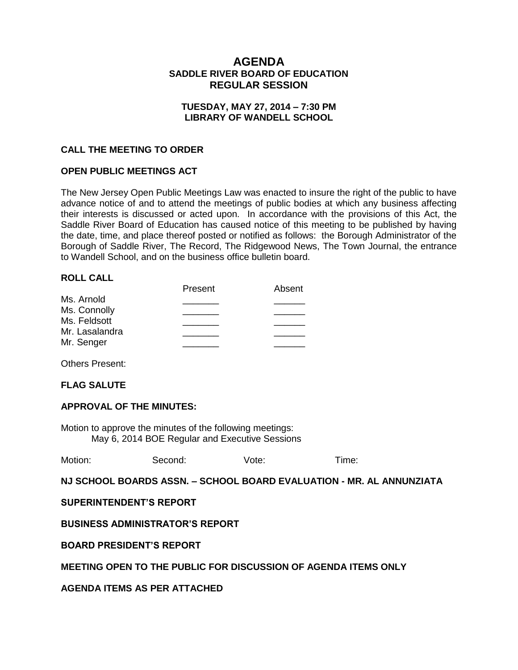# **AGENDA SADDLE RIVER BOARD OF EDUCATION REGULAR SESSION**

#### **TUESDAY, MAY 27, 2014 – 7:30 PM LIBRARY OF WANDELL SCHOOL**

### **CALL THE MEETING TO ORDER**

#### **OPEN PUBLIC MEETINGS ACT**

The New Jersey Open Public Meetings Law was enacted to insure the right of the public to have advance notice of and to attend the meetings of public bodies at which any business affecting their interests is discussed or acted upon. In accordance with the provisions of this Act, the Saddle River Board of Education has caused notice of this meeting to be published by having the date, time, and place thereof posted or notified as follows: the Borough Administrator of the Borough of Saddle River, The Record, The Ridgewood News, The Town Journal, the entrance to Wandell School, and on the business office bulletin board.

#### **ROLL CALL**

|                | Present | Absent |
|----------------|---------|--------|
| Ms. Arnold     |         |        |
| Ms. Connolly   |         |        |
| Ms. Feldsott   |         |        |
| Mr. Lasalandra |         |        |
| Mr. Senger     |         |        |
|                |         |        |

Others Present:

#### **FLAG SALUTE**

#### **APPROVAL OF THE MINUTES:**

Motion to approve the minutes of the following meetings: May 6, 2014 BOE Regular and Executive Sessions

Motion: Second: Vote: Time:

**NJ SCHOOL BOARDS ASSN. – SCHOOL BOARD EVALUATION - MR. AL ANNUNZIATA**

**SUPERINTENDENT'S REPORT**

**BUSINESS ADMINISTRATOR'S REPORT**

**BOARD PRESIDENT'S REPORT**

#### **MEETING OPEN TO THE PUBLIC FOR DISCUSSION OF AGENDA ITEMS ONLY**

**AGENDA ITEMS AS PER ATTACHED**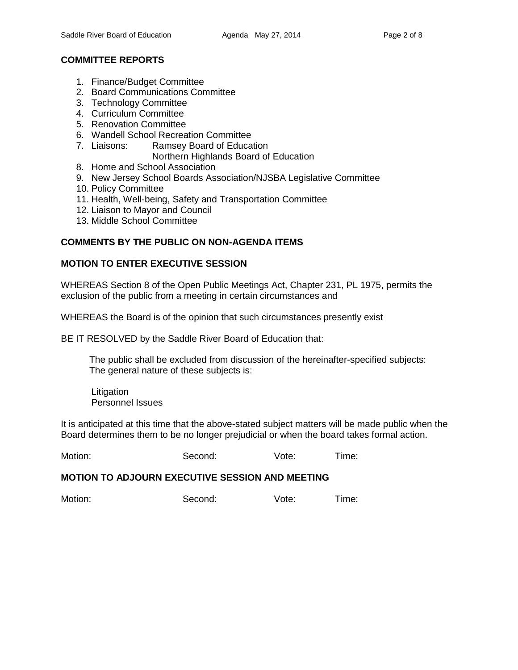# **COMMITTEE REPORTS**

- 1. Finance/Budget Committee
- 2. Board Communications Committee
- 3. Technology Committee
- 4. Curriculum Committee
- 5. Renovation Committee
- 6. Wandell School Recreation Committee
- 7. Liaisons: Ramsey Board of Education
	- Northern Highlands Board of Education
- 8. Home and School Association
- 9. New Jersey School Boards Association/NJSBA Legislative Committee
- 10. Policy Committee
- 11. Health, Well-being, Safety and Transportation Committee
- 12. Liaison to Mayor and Council
- 13. Middle School Committee

# **COMMENTS BY THE PUBLIC ON NON-AGENDA ITEMS**

## **MOTION TO ENTER EXECUTIVE SESSION**

WHEREAS Section 8 of the Open Public Meetings Act, Chapter 231, PL 1975, permits the exclusion of the public from a meeting in certain circumstances and

WHEREAS the Board is of the opinion that such circumstances presently exist

BE IT RESOLVED by the Saddle River Board of Education that:

 The public shall be excluded from discussion of the hereinafter-specified subjects: The general nature of these subjects is:

Litigation Personnel Issues

It is anticipated at this time that the above-stated subject matters will be made public when the Board determines them to be no longer prejudicial or when the board takes formal action.

Motion: Second: Vote: Time:

#### **MOTION TO ADJOURN EXECUTIVE SESSION AND MEETING**

Motion: Second: Vote: Time: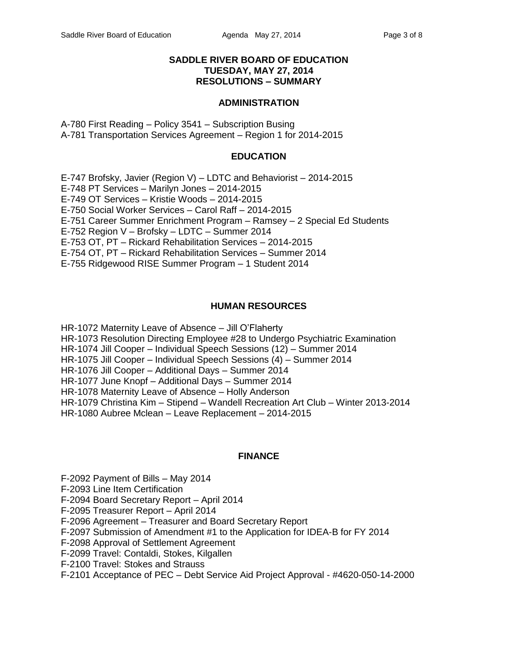### **SADDLE RIVER BOARD OF EDUCATION TUESDAY, MAY 27, 2014 RESOLUTIONS – SUMMARY**

#### **ADMINISTRATION**

A-780 First Reading – Policy 3541 – Subscription Busing A-781 Transportation Services Agreement – Region 1 for 2014-2015

#### **EDUCATION**

E-747 Brofsky, Javier (Region V) – LDTC and Behaviorist – 2014-2015 E-748 PT Services – Marilyn Jones – 2014-2015 E-749 OT Services – Kristie Woods – 2014-2015 E-750 Social Worker Services – Carol Raff – 2014-2015 E-751 Career Summer Enrichment Program – Ramsey – 2 Special Ed Students E-752 Region V – Brofsky – LDTC – Summer 2014 E-753 OT, PT – Rickard Rehabilitation Services – 2014-2015 E-754 OT, PT – Rickard Rehabilitation Services – Summer 2014 E-755 Ridgewood RISE Summer Program – 1 Student 2014

### **HUMAN RESOURCES**

HR-1072 Maternity Leave of Absence – Jill O'Flaherty HR-1073 Resolution Directing Employee #28 to Undergo Psychiatric Examination HR-1074 Jill Cooper – Individual Speech Sessions (12) – Summer 2014 HR-1075 Jill Cooper – Individual Speech Sessions (4) – Summer 2014 HR-1076 Jill Cooper – Additional Days – Summer 2014 HR-1077 June Knopf – Additional Days – Summer 2014 HR-1078 Maternity Leave of Absence – Holly Anderson HR-1079 Christina Kim – Stipend – Wandell Recreation Art Club – Winter 2013-2014 HR-1080 Aubree Mclean – Leave Replacement – 2014-2015

#### **FINANCE**

F-2092 Payment of Bills – May 2014

F-2093 Line Item Certification

F-2094 Board Secretary Report – April 2014

F-2095 Treasurer Report – April 2014

F-2096 Agreement – Treasurer and Board Secretary Report

F-2097 Submission of Amendment #1 to the Application for IDEA-B for FY 2014

F-2098 Approval of Settlement Agreement

F-2099 Travel: Contaldi, Stokes, Kilgallen

F-2100 Travel: Stokes and Strauss

F-2101 Acceptance of PEC – Debt Service Aid Project Approval - #4620-050-14-2000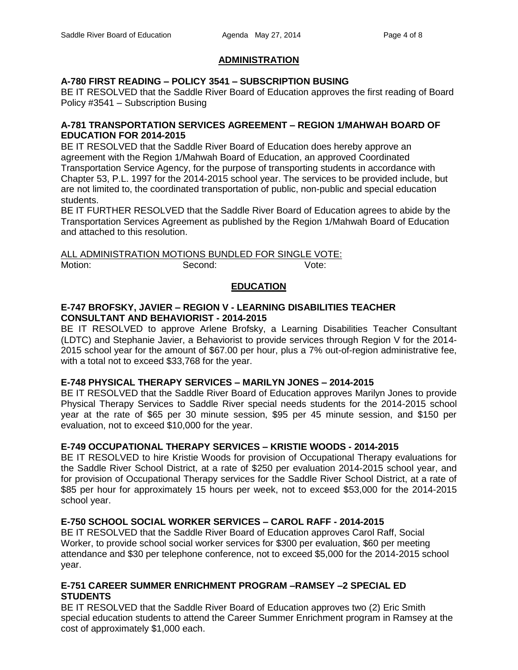# **ADMINISTRATION**

## **A-780 FIRST READING – POLICY 3541 – SUBSCRIPTION BUSING**

BE IT RESOLVED that the Saddle River Board of Education approves the first reading of Board Policy #3541 – Subscription Busing

### **A-781 TRANSPORTATION SERVICES AGREEMENT – REGION 1/MAHWAH BOARD OF EDUCATION FOR 2014-2015**

BE IT RESOLVED that the Saddle River Board of Education does hereby approve an agreement with the Region 1/Mahwah Board of Education, an approved Coordinated Transportation Service Agency, for the purpose of transporting students in accordance with Chapter 53, P.L. 1997 for the 2014-2015 school year. The services to be provided include, but are not limited to, the coordinated transportation of public, non-public and special education students.

BE IT FURTHER RESOLVED that the Saddle River Board of Education agrees to abide by the Transportation Services Agreement as published by the Region 1/Mahwah Board of Education and attached to this resolution.

ALL ADMINISTRATION MOTIONS BUNDLED FOR SINGLE VOTE: Motion: Second: Second: Vote:

# **EDUCATION**

### **E-747 BROFSKY, JAVIER – REGION V - LEARNING DISABILITIES TEACHER CONSULTANT AND BEHAVIORIST - 2014-2015**

BE IT RESOLVED to approve Arlene Brofsky, a Learning Disabilities Teacher Consultant (LDTC) and Stephanie Javier, a Behaviorist to provide services through Region V for the 2014- 2015 school year for the amount of \$67.00 per hour, plus a 7% out-of-region administrative fee, with a total not to exceed \$33,768 for the year.

## **E-748 PHYSICAL THERAPY SERVICES – MARILYN JONES – 2014-2015**

BE IT RESOLVED that the Saddle River Board of Education approves Marilyn Jones to provide Physical Therapy Services to Saddle River special needs students for the 2014-2015 school year at the rate of \$65 per 30 minute session, \$95 per 45 minute session, and \$150 per evaluation, not to exceed \$10,000 for the year.

## **E-749 OCCUPATIONAL THERAPY SERVICES – KRISTIE WOODS - 2014-2015**

BE IT RESOLVED to hire Kristie Woods for provision of Occupational Therapy evaluations for the Saddle River School District, at a rate of \$250 per evaluation 2014-2015 school year, and for provision of Occupational Therapy services for the Saddle River School District, at a rate of \$85 per hour for approximately 15 hours per week, not to exceed \$53,000 for the 2014-2015 school year.

# **E-750 SCHOOL SOCIAL WORKER SERVICES – CAROL RAFF - 2014-2015**

BE IT RESOLVED that the Saddle River Board of Education approves Carol Raff, Social Worker, to provide school social worker services for \$300 per evaluation, \$60 per meeting attendance and \$30 per telephone conference, not to exceed \$5,000 for the 2014-2015 school year.

## **E-751 CAREER SUMMER ENRICHMENT PROGRAM –RAMSEY –2 SPECIAL ED STUDENTS**

BE IT RESOLVED that the Saddle River Board of Education approves two (2) Eric Smith special education students to attend the Career Summer Enrichment program in Ramsey at the cost of approximately \$1,000 each.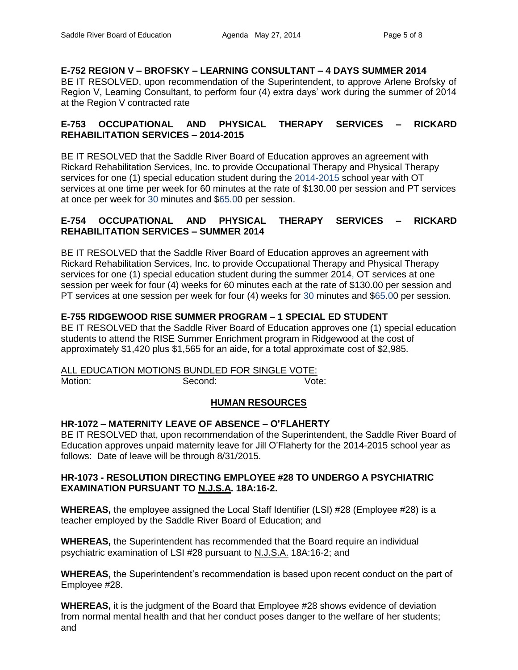**E-752 REGION V – BROFSKY – LEARNING CONSULTANT – 4 DAYS SUMMER 2014** BE IT RESOLVED, upon recommendation of the Superintendent, to approve Arlene Brofsky of Region V, Learning Consultant, to perform four (4) extra days' work during the summer of 2014 at the Region V contracted rate

# **E-753 OCCUPATIONAL AND PHYSICAL THERAPY SERVICES – RICKARD REHABILITATION SERVICES – 2014-2015**

BE IT RESOLVED that the Saddle River Board of Education approves an agreement with Rickard Rehabilitation Services, Inc. to provide Occupational Therapy and Physical Therapy services for one (1) special education student during the 2014-2015 school year with OT services at one time per week for 60 minutes at the rate of \$130.00 per session and PT services at once per week for 30 minutes and \$65.00 per session.

## **E-754 OCCUPATIONAL AND PHYSICAL THERAPY SERVICES – RICKARD REHABILITATION SERVICES – SUMMER 2014**

BE IT RESOLVED that the Saddle River Board of Education approves an agreement with Rickard Rehabilitation Services, Inc. to provide Occupational Therapy and Physical Therapy services for one (1) special education student during the summer 2014, OT services at one session per week for four (4) weeks for 60 minutes each at the rate of \$130.00 per session and PT services at one session per week for four (4) weeks for 30 minutes and \$65.00 per session.

# **E-755 RIDGEWOOD RISE SUMMER PROGRAM – 1 SPECIAL ED STUDENT**

BE IT RESOLVED that the Saddle River Board of Education approves one (1) special education students to attend the RISE Summer Enrichment program in Ridgewood at the cost of approximately \$1,420 plus \$1,565 for an aide, for a total approximate cost of \$2,985.

ALL EDUCATION MOTIONS BUNDLED FOR SINGLE VOTE: Motion: Second: Second: Vote:

## **HUMAN RESOURCES**

## **HR-1072 – MATERNITY LEAVE OF ABSENCE – O'FLAHERTY**

BE IT RESOLVED that, upon recommendation of the Superintendent, the Saddle River Board of Education approves unpaid maternity leave for Jill O'Flaherty for the 2014-2015 school year as follows: Date of leave will be through 8/31/2015.

### **HR-1073 - RESOLUTION DIRECTING EMPLOYEE #28 TO UNDERGO A PSYCHIATRIC EXAMINATION PURSUANT TO N.J.S.A. 18A:16-2.**

**WHEREAS,** the employee assigned the Local Staff Identifier (LSI) #28 (Employee #28) is a teacher employed by the Saddle River Board of Education; and

**WHEREAS,** the Superintendent has recommended that the Board require an individual psychiatric examination of LSI #28 pursuant to N.J.S.A. 18A:16-2; and

**WHEREAS,** the Superintendent's recommendation is based upon recent conduct on the part of Employee #28.

**WHEREAS,** it is the judgment of the Board that Employee #28 shows evidence of deviation from normal mental health and that her conduct poses danger to the welfare of her students; and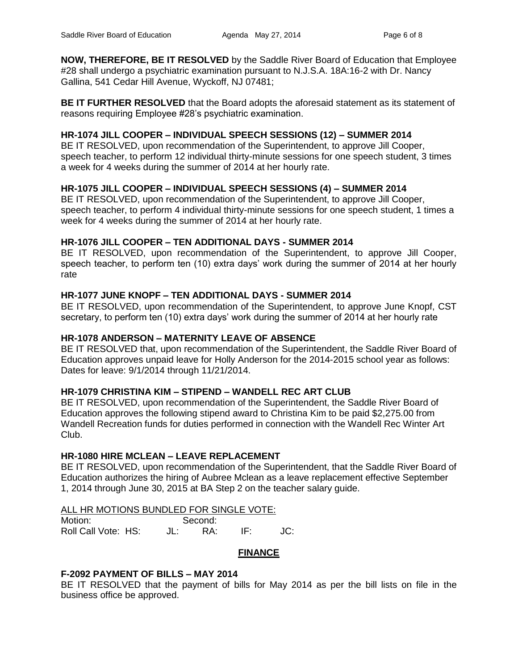**NOW, THEREFORE, BE IT RESOLVED** by the Saddle River Board of Education that Employee #28 shall undergo a psychiatric examination pursuant to N.J.S.A. 18A:16-2 with Dr. Nancy Gallina, 541 Cedar Hill Avenue, Wyckoff, NJ 07481;

**BE IT FURTHER RESOLVED** that the Board adopts the aforesaid statement as its statement of reasons requiring Employee #28's psychiatric examination.

### **HR-1074 JILL COOPER – INDIVIDUAL SPEECH SESSIONS (12) – SUMMER 2014**

BE IT RESOLVED, upon recommendation of the Superintendent, to approve Jill Cooper, speech teacher, to perform 12 individual thirty-minute sessions for one speech student, 3 times a week for 4 weeks during the summer of 2014 at her hourly rate.

### **HR-1075 JILL COOPER – INDIVIDUAL SPEECH SESSIONS (4) – SUMMER 2014**

BE IT RESOLVED, upon recommendation of the Superintendent, to approve Jill Cooper, speech teacher, to perform 4 individual thirty-minute sessions for one speech student, 1 times a week for 4 weeks during the summer of 2014 at her hourly rate.

#### **HR-1076 JILL COOPER – TEN ADDITIONAL DAYS - SUMMER 2014**

BE IT RESOLVED, upon recommendation of the Superintendent, to approve Jill Cooper, speech teacher, to perform ten (10) extra days' work during the summer of 2014 at her hourly rate

### **HR-1077 JUNE KNOPF – TEN ADDITIONAL DAYS - SUMMER 2014**

BE IT RESOLVED, upon recommendation of the Superintendent, to approve June Knopf, CST secretary, to perform ten (10) extra days' work during the summer of 2014 at her hourly rate

#### **HR-1078 ANDERSON – MATERNITY LEAVE OF ABSENCE**

BE IT RESOLVED that, upon recommendation of the Superintendent, the Saddle River Board of Education approves unpaid leave for Holly Anderson for the 2014-2015 school year as follows: Dates for leave: 9/1/2014 through 11/21/2014.

#### **HR-1079 CHRISTINA KIM – STIPEND – WANDELL REC ART CLUB**

BE IT RESOLVED, upon recommendation of the Superintendent, the Saddle River Board of Education approves the following stipend award to Christina Kim to be paid \$2,275.00 from Wandell Recreation funds for duties performed in connection with the Wandell Rec Winter Art Club.

### **HR-1080 HIRE MCLEAN – LEAVE REPLACEMENT**

BE IT RESOLVED, upon recommendation of the Superintendent, that the Saddle River Board of Education authorizes the hiring of Aubree Mclean as a leave replacement effective September 1, 2014 through June 30, 2015 at BA Step 2 on the teacher salary guide.

#### ALL HR MOTIONS BUNDLED FOR SINGLE VOTE:

| Motion:             |  | Second: |     |  |
|---------------------|--|---------|-----|--|
| Roll Call Vote: HS: |  | RА.     | IF۰ |  |

#### **FINANCE**

#### **F-2092 PAYMENT OF BILLS – MAY 2014**

BE IT RESOLVED that the payment of bills for May 2014 as per the bill lists on file in the business office be approved.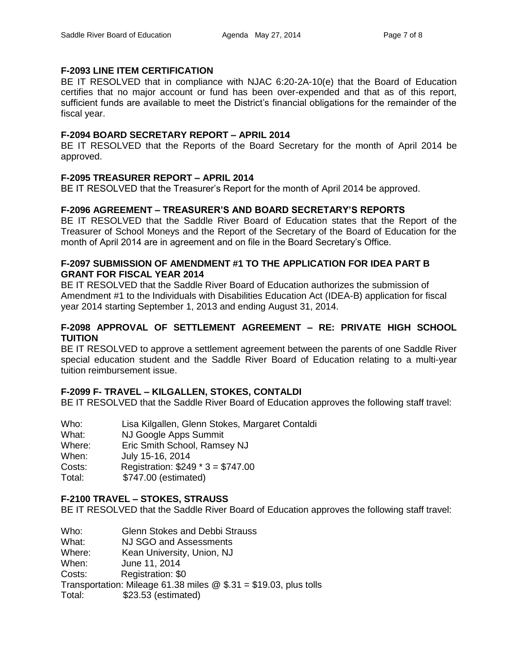## **F-2093 LINE ITEM CERTIFICATION**

BE IT RESOLVED that in compliance with NJAC 6:20-2A-10(e) that the Board of Education certifies that no major account or fund has been over-expended and that as of this report, sufficient funds are available to meet the District's financial obligations for the remainder of the fiscal year.

## **F-2094 BOARD SECRETARY REPORT – APRIL 2014**

BE IT RESOLVED that the Reports of the Board Secretary for the month of April 2014 be approved.

# **F-2095 TREASURER REPORT – APRIL 2014**

BE IT RESOLVED that the Treasurer's Report for the month of April 2014 be approved.

# **F-2096 AGREEMENT – TREASURER'S AND BOARD SECRETARY'S REPORTS**

BE IT RESOLVED that the Saddle River Board of Education states that the Report of the Treasurer of School Moneys and the Report of the Secretary of the Board of Education for the month of April 2014 are in agreement and on file in the Board Secretary's Office.

### **F-2097 SUBMISSION OF AMENDMENT #1 TO THE APPLICATION FOR IDEA PART B GRANT FOR FISCAL YEAR 2014**

BE IT RESOLVED that the Saddle River Board of Education authorizes the submission of Amendment #1 to the Individuals with Disabilities Education Act (IDEA-B) application for fiscal year 2014 starting September 1, 2013 and ending August 31, 2014.

### **F-2098 APPROVAL OF SETTLEMENT AGREEMENT – RE: PRIVATE HIGH SCHOOL TUITION**

BE IT RESOLVED to approve a settlement agreement between the parents of one Saddle River special education student and the Saddle River Board of Education relating to a multi-year tuition reimbursement issue.

# **F-2099 F- TRAVEL – KILGALLEN, STOKES, CONTALDI**

BE IT RESOLVED that the Saddle River Board of Education approves the following staff travel:

| Who:   | Lisa Kilgallen, Glenn Stokes, Margaret Contaldi |
|--------|-------------------------------------------------|
| What:  | NJ Google Apps Summit                           |
| Where: | Eric Smith School, Ramsey NJ                    |
| When:  | July 15-16, 2014                                |
| Costs: | Registration: $$249 * 3 = $747.00$              |
| Total: | \$747.00 (estimated)                            |
|        |                                                 |

# **F-2100 TRAVEL – STOKES, STRAUSS**

BE IT RESOLVED that the Saddle River Board of Education approves the following staff travel:

Who: Glenn Stokes and Debbi Strauss

What: NJ SGO and Assessments

Where: Kean University, Union, NJ

When: June 11, 2014

Costs: Registration: \$0

Transportation: Mileage 61.38 miles  $@$  \$.31 = \$19.03, plus tolls

Total: \$23.53 (estimated)